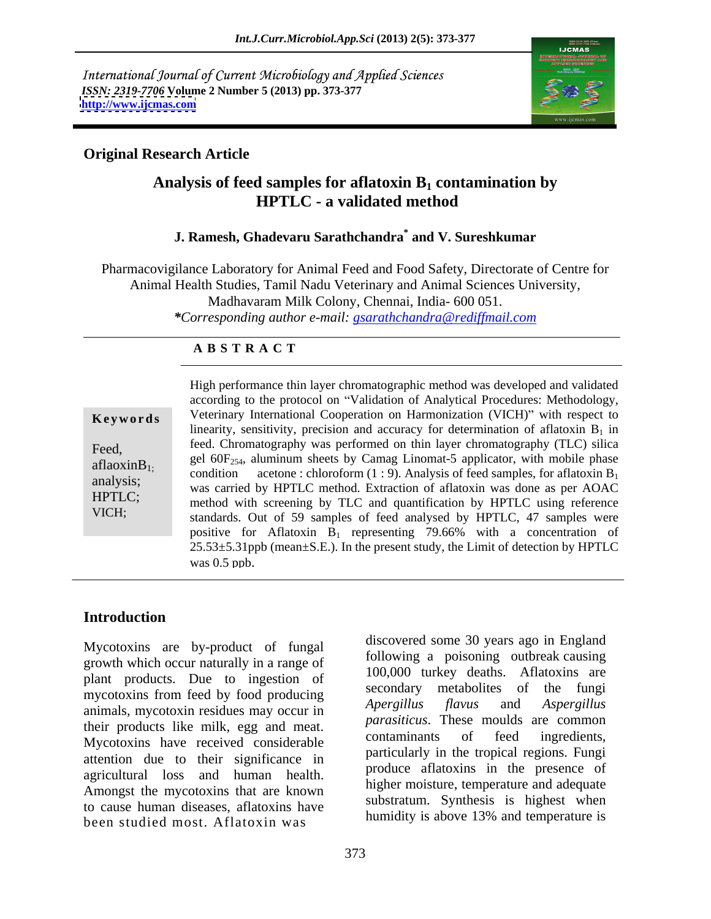International Journal of Current Microbiology and Applied Sciences *ISSN: 2319-7706* **Volume 2 Number 5 (2013) pp. 373-377 <http://www.ijcmas.com>**



# **Original Research Article**

# Analysis of feed samples for aflatoxin B<sub>1</sub> contamination by  **HPTLC - a validated method**

### **J. Ramesh, Ghadevaru Sarathchandra\* and V. Sureshkumar**

Pharmacovigilance Laboratory for Animal Feed and Food Safety, Directorate of Centre for Animal Health Studies, Tamil Nadu Veterinary and Animal Sciences University, Madhavaram Milk Colony, Chennai, India- 600 051. *\*Corresponding author e-mail: gsarathchandra@rediffmail.com*

# **A B S T R A C T**

| Keywords                                                    |
|-------------------------------------------------------------|
| Feed,<br>aflaoxin $B_{1}$ :<br>analysis;<br>HPTLC;<br>VICH; |
|                                                             |

**Keywords** Veterinary International Cooperation on Harmonization (VICH)" with respect to Feed, feed. Chromatography was performed on thin layer chromatography (TLC) silica aflaoxinB<sub>1;</sub> get oor<sub>254</sub>, alumnum sheets by Camag Emomat-5 applicator, with moone phase<br>condition acetone : chloroform (1 : 9). Analysis of feed samples, for aflatoxin B<sub>1</sub> analysis;<br>was carried by HPTLC method. Extraction of aflatoxin was done as per AOAC HPTLC;<br>method with screening by TLC and quantification by HPTLC using reference VICH;<br>standards. Out of 59 samples of feed analysed by HPTLC, 47 samples were High performance thin layer chromatographic method was developed and validated according to the protocol on Validation of Analytical Procedures: Methodology, linearity, sensitivity, precision and accuracy for determination of aflatoxin  $B_1$  in gel 60F<sub>254</sub>, aluminum sheets by Camag Linomat-5 applicator, with mobile phase condition acetone : chloroform  $(1:9)$ . Analysis of feed samples, for aflatoxin  $B_1$ positive for Aflatoxin  $B_1$  representing 79.66% with a concentration of 25.53±5.31ppb (mean±S.E.). In the present study, the Limit of detection by HPTLC was 0.5 ppb.

# **Introduction**

Mycotoxins are by-product of fungal growth which occur naturally in a range of plant products. Due to ingestion of  $\frac{100,000 \text{ ft}}{\text{secondary}}$ mycotoxins from feed by food producing<br>Apergillus flavus and Aspergillus animals, mycotoxin residues may occur in their products like milk, egg and meat. Parastucas: These moutus are common<br>
contaminants of feed ingredients, Mycotoxins have received considerable attention due to their significance in agricultural loss and human health. Amongst the mycotoxins that are known to cause human diseases, aflatoxins have been studied most. Aflatoxin was

discovered some 30 years ago in England following a poisoning outbreak causing 100,000 turkey deaths. Aflatoxins are metabolites of the fungi *Apergillus flavus* and *Aspergillus parasiticus*. These moulds are common contaminants of feed ingredients, particularly in the tropical regions. Fungi produce aflatoxins in the presence of higher moisture, temperature and adequate substratum. Synthesis is highest when humidity is above 13% and temperature is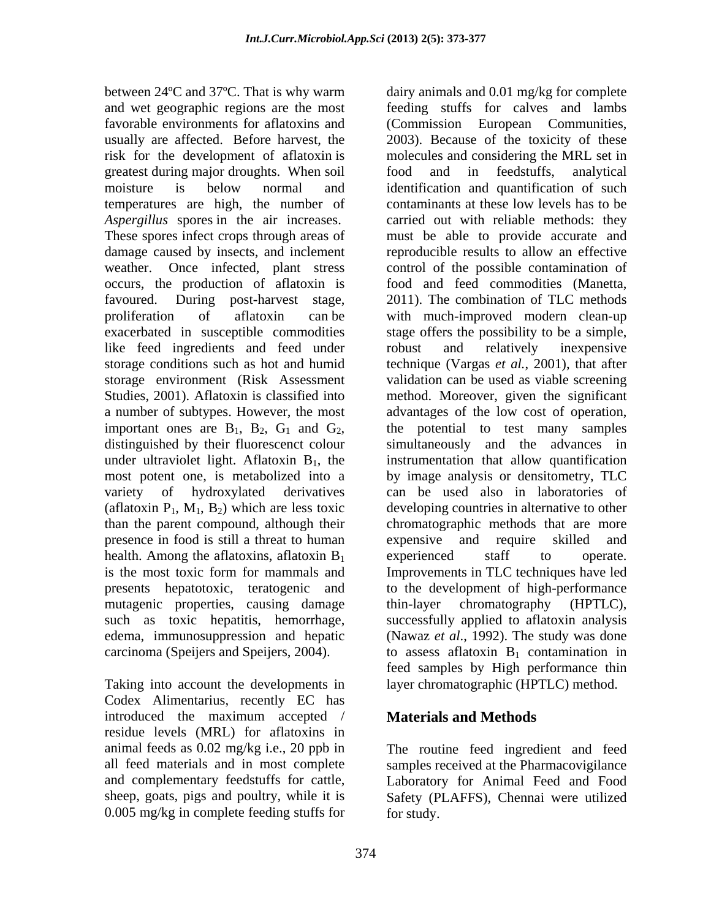between 24ºC and 37ºC. That is why warm dairy animals and 0.01 mg/kg for complete and wet geographic regions are the most feeding stuffs for calves and lambs favorable environments for aflatoxins and (Commission European Communities, usually are affected. Before harvest, the 2003). Because of the toxicity of these risk for the development of aflatoxin is greatest during major droughts. When soil moisture is below normal and identification and quantification of such temperatures are high, the number of contaminants at these low levels has to be *Aspergillus* spores in the air increases. These spores infect crops through areas of must be able to provide accurate and damage caused by insects, and inclement reproducible results to allow an effective weather. Once infected, plant stress occurs, the production of aflatoxin is food and feed commodities (Manetta, favoured. During post-harvest stage, 2011). The combination of TLC methods proliferation of aflatoxin can be with much-improved modern clean-up exacerbated in susceptible commodities stage offers the possibility to be a simple, like feed ingredients and feed under solution and relatively inexpensive storage conditions such as hot and humid technique (Vargas *et al.*, 2001), that after storage environment (Risk Assessment validation can be used as viable screening Studies, 2001). Aflatoxin is classified into method. Moreover, given the significant a number of subtypes. However, the most advantages of the low cost of operation, important ones are  $B_1$ ,  $B_2$ ,  $G_1$  and  $G_2$ , the potential to test many samples distinguished by their fluorescenct colour simultaneously and the advances in under ultraviolet light. Aflatoxin  $B_1$ , the instrumentation that allow quantification most potent one, is metabolized into a variety of hydroxylated derivatives can be used also in laboratories of (aflatoxin  $P_1$ ,  $M_1$ ,  $B_2$ ) which are less toxic than the parent compound, although their than the parent compound, although their chromatographic methods that are more presence in food is still a threat to human expensive and require skilled and health. Among the aflatoxins, aflatoxin  $B_1$  experienced staff to operate. is the most toxic form for mammals and Improvements in TLC techniques have led presents hepatotoxic, teratogenic and to the development of high-performance mutagenic properties, causing damage thin-layer chromatography (HPTLC), such as toxic hepatitis, hemorrhage, successfully applied to aflatoxin analysis edema, immunosuppression and hepatic (Nawaz *et al*., 1992). The study was done carcinoma (Speijers and Speijers, 2004).

Taking into account the developments in Codex Alimentarius, recently EC has introduced the maximum accepted / **Materials and Methods** residue levels (MRL) for aflatoxins in 0.005 mg/kg in complete feeding stuffs for

molecules and considering the MRL set in food and in feedstuffs, analytical carried out with reliable methods: they control of the possible contamination of food and feed commodities (Manetta, 2011). The combination of TLC methods robust and relatively inexpensive the potential to test many samples simultaneously and the advances in by image analysis or densitometry, TLC developing countries in alternative to other expensive and require skilled and experienced staff to operate. thin-layer chromatography (HPTLC), to assess aflatoxin  $B_1$  contamination in feed samples by High performance thin layer chromatographic (HPTLC) method.

# **Materials and Methods**

animal feeds as 0.02 mg/kg i.e., 20 ppb in The routine feed ingredient and feed all feed materials and in most complete samples received at the Pharmacovigilance and complementary feedstuffs for cattle, Laboratory for Animal Feed and Food sheep, goats, pigs and poultry, while it is Safety (PLAFFS), Chennai were utilized for study.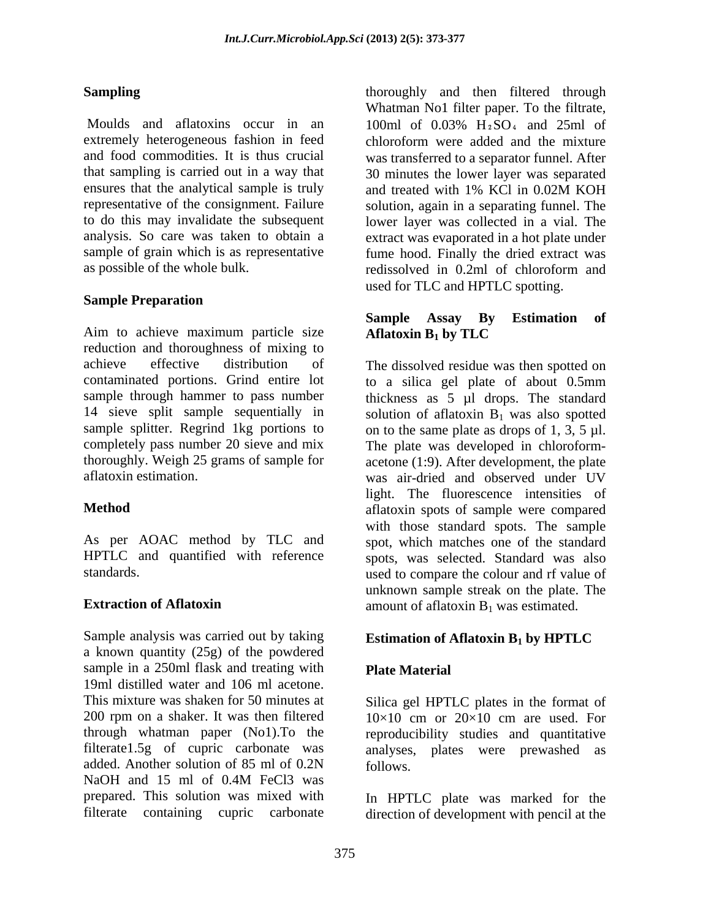Moulds and aflatoxins occur in an  $100$ ml of  $0.03\%$   $H_2SO_4$  and  $25$ ml of extremely heterogeneous fashion in feed chloroform were added and the mixture and food commodities. It is thus crucial was transferred to a separator funnel. After that sampling is carried out in a way that 30 minutes the lower layer was separated ensures that the analytical sample is truly and treated with 1% KCl in 0.02M KOH representative of the consignment. Failure solution, again in a separating funnel. The to do this may invalidate the subsequent lower layer was collected in a vial. The analysis. So care was taken to obtain a extract was evaporated in a hot plate under sample of grain which is as representative fume hood. Finally the dried extract was as possible of the whole bulk. redissolved in 0.2ml of chloroform and

### **Sample Preparation**

Aim to achieve maximum particle size reduction and thoroughness of mixing to achieve effective distribution of The dissolved residue was then spotted on contaminated portions. Grind entire lot to a silica gel plate of about 0.5mm sample through hammer to pass number thickness as 5 µl drops. The standard 14 sieve split sample sequentially in solution of a flatoxin  $B_1$  was also spotted sample splitter. Regrind 1kg portions to on to the same plate as drops of 1, 3, 5  $\mu$ l. completely pass number 20 sieve and mix The plate was developed in chloroform thoroughly. Weigh 25 grams of sample for acetone (1:9). After development, the plate

As per AOAC method by TLC and

Sample analysis was carried out by taking **Estimation of Aflatoxin B<sub>1</sub> by HPTLC** a known quantity (25g) of the powdered sample in a 250ml flask and treating with Plate Material 19ml distilled water and 106 ml acetone. This mixture was shaken for 50 minutes at Silica gel HPTLC plates in the format of 200 rpm on a shaker. It was then filtered  $10\times10$  cm or  $20\times10$  cm are used. For through whatman paper (No1).To the reproducibility studies and quantitative filterate1.5g of cupric carbonate was analyses, plates were prewashed as added. Another solution of 85 ml of 0.2N follows. NaOH and 15 ml of 0.4M FeCl3 was prepared. This solution was mixed with In HPTLC plate was marked for the

**Sampling Sampling Example 1 Sampling Example 1 C EXECUTE:** thoroughly and then filtered through Whatman No1 filter paper. To the filtrate, 100ml of  $0.03\%$  H<sub>2</sub>SO<sub>4</sub> and 25ml of chloroform were added and the mixture and treated with 1% KCl in 0.02M KOH redissolved in 0.2ml of chloroform and used for TLC and HPTLC spotting.

### **Sample Assay By Estimation of Aflatoxin B1 by TLC**

aflatoxin estimation. was air-dried and observed under UV **Method** aflatoxin spots of sample were compared HPTLC and quantified with reference spots, was selected. Standard was also standards. used to compare the colour and rf value of **Extraction of Aflatoxin** amount of aflatoxin B<sub>1</sub> was estimated. light. The fluorescence intensities of with those standard spots. The sample spot, which matches one of the standard unknown sample streak on the plate. The

# **Estimation of Aflatoxin B1 by HPTLC**

# **Plate Material**

 $10\times10$  cm or  $20\times10$  cm are used. For follows.

filterate containing cupric carbonate direction of development with pencil at the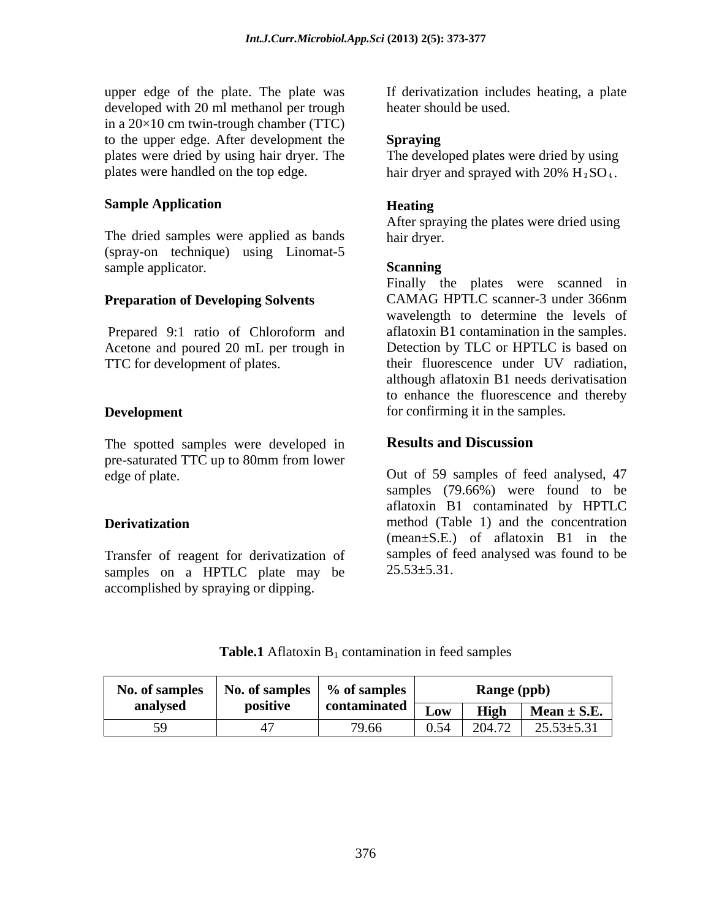upper edge of the plate. The plate was developed with 20 ml methanol per trough in a  $20\times10$  cm twin-trough chamber (TTC) to the upper edge. After development the **Spraying** plates were dried by using hair dryer. The plates were handled on the top edge.  $hair$  dryer and sprayed with  $20\%$  H $_2$ SO<sub>4</sub>.

### **Sample Application**

The dried samples were applied as bands hair dryer. (spray-on technique) using Linomat-5 sample applicator. Scanning

The spotted samples were developed in **Results and Discussion** pre-saturated TTC up to 80mm from lower

Transfer of reagent for derivatization of samples of f<br>samples on a HPTIC plate may be  $25.53\pm5.31$ . samples on a HPTLC plate may be accomplished by spraying or dipping.

If derivatization includes heating, a plate heater should be used.

### **Spraying**

The developed plates were dried by using

### **Heating**

After spraying the plates were dried using hair dryer.

### **Scanning**

**Preparation of Developing Solvents** CAMAG HPTLC scanner-3 under 366nm Prepared 9:1 ratio of Chloroform and aflatoxin B1 contamination in the samples. Acetone and poured 20 mL per trough in Detection by TLC or HPTLC is based on TTC for development of plates. their fluorescence under UV radiation, **Development confirming** it in the samples. Finally the plates were scanned in CAMAG HPTLC scanner-3 under 366nm wavelength to determine the levels of although aflatoxin B1 needs derivatisation to enhance the fluorescence and thereby

# **Results and Discussion**

edge of plate. Out of 59 samples of feed analysed, 47 **Derivatization** method (Table 1) and the concentration samples (79.66%) were found to be aflatoxin B1 contaminated by HPTLC (mean±S.E.) of aflatoxin B1 in the samples of feed analysed was found to be  $25.53\pm5.31$ .

**Table.1** Aflatoxin  $B_1$  contamination in feed samples